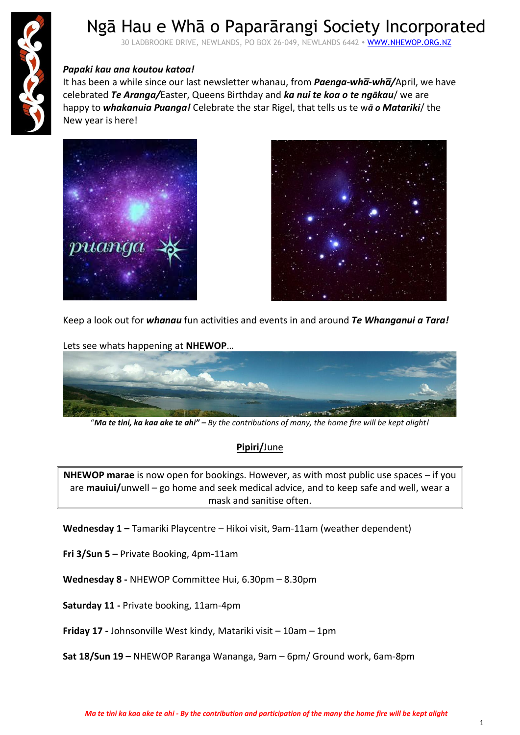

# Ngā Hau e Whā o Paparārangi Society Incorporated

30 LADBROOKE DRIVE, NEWLANDS, PO BOX 26-049, NEWLANDS 6442 · WWW.NHEWOP.ORG.NZ

### *Papaki kau ana koutou katoa!*

It has been a while since our last newsletter whanau, from *Paenga-wha̅-wha̅/*April, we have celebrated *Te Aranga/*Easter, Queens Birthday and *ka nui te koa o te ngākau*/ we are happy to *whakanuia Puanga!* Celebrate the star Rigel, that tells us te w*ā o Matariki*/ the New year is here!





Keep a look out for *whanau* fun activities and events in and around *Te Whanganui a Tara!*



"*Ma te tini, ka kaa ake te ahi" – By the contributions of many, the home fire will be kept alight!*

### **Pipiri/**June

**NHEWOP marae** is now open for bookings. However, as with most public use spaces – if you are **mauiui/**unwell – go home and seek medical advice, and to keep safe and well, wear a mask and sanitise often.

**Wednesday 1 –** Tamariki Playcentre – Hikoi visit, 9am-11am (weather dependent)

**Fri 3/Sun 5 –** Private Booking, 4pm-11am

**Wednesday 8 -** NHEWOP Committee Hui, 6.30pm – 8.30pm

**Saturday 11 -** Private booking, 11am-4pm

**Friday 17 -** Johnsonville West kindy, Matariki visit – 10am – 1pm

**Sat 18/Sun 19 –** NHEWOP Raranga Wananga, 9am – 6pm/ Ground work, 6am-8pm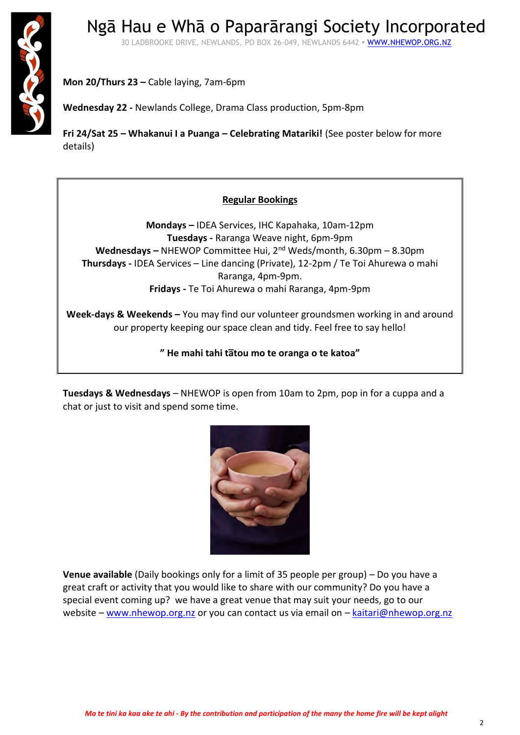

Ngā Hau e Whā o Paparārangi Society Incorporated 30 LADBROOKE DRIVE, NEWLANDS, PO BOX 26-049, NEWLANDS 6442 · WWW.NHEWOP.ORG.NZ

**Mon 20/Thurs 23 –** Cable laying, 7am-6pm

**Wednesday 22 -** Newlands College, Drama Class production, 5pm-8pm

**Fri 24/Sat 25 – Whakanui I a Puanga – Celebrating Matariki!** (See poster below for more details)

### **Regular Bookings**

**Mondays –** IDEA Services, IHC Kapahaka, 10am-12pm **Tuesdays -** Raranga Weave night, 6pm-9pm **Wednesdays –** NHEWOP Committee Hui, 2nd Weds/month, 6.30pm – 8.30pm **Thursdays -** IDEA Services – Line dancing (Private), 12-2pm / Te Toi Ahurewa o mahi Raranga, 4pm-9pm. **Fridays -** Te Toi Ahurewa o mahi Raranga, 4pm-9pm

**Week-days & Weekends –** You may find our volunteer groundsmen working in and around our property keeping our space clean and tidy. Feel free to say hello!

**" He mahi tahi ta̅tou mo te oranga o te katoa"**

**Tuesdays & Wednesdays** – NHEWOP is open from 10am to 2pm, pop in for a cuppa and a chat or just to visit and spend some time.



**Venue available** (Daily bookings only for a limit of 35 people per group) – Do you have a great craft or activity that you would like to share with our community? Do you have a special event coming up? we have a great venue that may suit your needs, go to our website – [www.nhewop.org.nz](http://www.nhewop.org.nz/) or you can contact us via email on – [kaitari@nhewop.org.nz](mailto:kaitari@nhewop.org.nz)